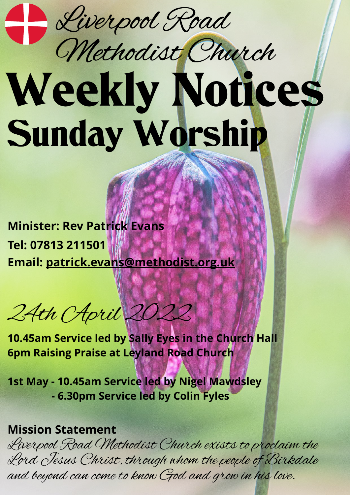Liverpool Road

## Weekly Notices Sunday Worship Methodist Church

**Minister: Rev Patrick Evans Tel: 07813 211501 Email: [patrick.evans@methodist.org.uk](mailto:patrick.evans@methodist.org.uk)**

24th April 2022

**10.45am Service led by Sally Eyes in the Church Hall 6pm Raising Praise at Leyland Road Church**

**1st May - 10.45am Service led by Nigel Mawdsley - 6.30pm Service led by Colin Fyles**

## **Mission Statement**

Liverpool Road Methodist Church exists to proclaim the Lord Jesus Christ, through whom the people of Birkdale and beyond can come to know God and grow in his love.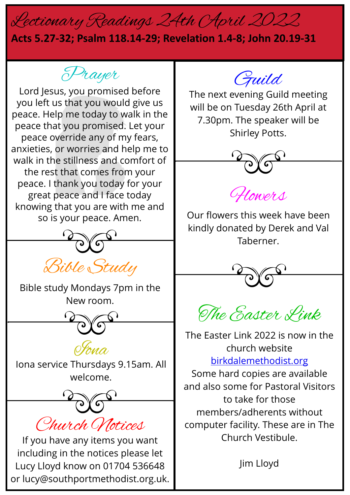## Lectionary Readings 24th April 2022

## **Acts 5.27-32; Psalm 118.14-29; Revelation 1.4-8; John 20.19-31**

Prayer

Lord Jesus, you promised before you left us that you would give us peace. Help me today to walk in the peace that you promised. Let your peace override any of my fears, anxieties, or worries and help me to walk in the stillness and comfort of the rest that comes from your peace. I thank you today for your great peace and I face today knowing that you are with me and so is your peace. Amen.



Bible study Mondays 7pm in the New room.





Iona service Thursdays 9.15am. All welcome.

Church Notices

If you have any items you want including in the notices please let Lucy Lloyd know on 01704 536648 or lucy@southportmethodist.org.uk.

Guild

The next evening Guild meeting will be on Tuesday 26th April at 7.30pm. The speaker will be Shirley Potts.



Flowers

Our flowers this week have been kindly donated by Derek and Val Taberner.



The Easter Link

The Easter Link 2022 is now in the church website [birkdalemethodist.org](http://birkdalemethodist.org/) Some hard copies are available and also some for Pastoral Visitors to take for those members/adherents without computer facility. These are in The Church Vestibule.

Jim Lloyd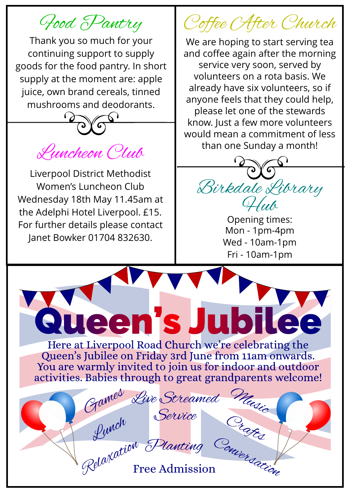Food Pantry

Thank you so much for your continuing support to supply goods for the food pantry. In short supply at the moment are: apple juice, own brand cereals, tinned mushrooms and deodorants.



Liverpool District Methodist Women's Luncheon Club Wednesday 18th May 11.45am at the Adelphi Hotel Liverpool. £15. For further details please contact Janet Bowker 01704 832630.

Games

Queen's J

Relazation

Coffee After Church

We are hoping to start serving tea and coffee again after the morning service very soon, served by volunteers on a rota basis. We already have six volunteers, so if anyone feels that they could help, please let one of the stewards know. Just a few more volunteers would mean a commitment of less than one Sunday a month!



Opening times: Mon - 1pm-4pm Wed - 10am-1pm Fri - 10am-1pm

Music

**ubil** 

Here at Liverpool Road Church we're celebrating the Queen's Jubilee on Friday 3rd June from 11am onwards. You are warmly invited to join us for indoor and outdoor activities. Babies through to great grandparents welcome!

Live Streamed

Lunch<br>Lunch Planting

Service Crazz

N Planting Couver dation